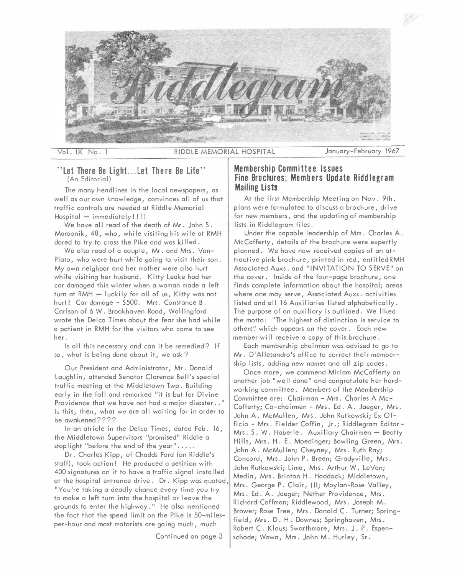

 $Vol. IX No.$ 

RIDDLE MEMORIAL HOSPITAL

January-February 1967

# **"Let There Be Light... let The re Be life"**  (An Editorial)

The many headlines in the local newspapers, as well as our own knowledge, convinces all of us that traffic controls are needed at Riddle Memorial  $Hospital$  - immediately!!!!

We have all read of the death of Mr. John S. Maroonik, 48, who, while visiting his wife at RMH dared to try to cross the Pike and was killed.

We also read of a couple, Mr. and Mrs. Von-Plato, who were hurt while going to visit their son. My own neighbor and her mother were also hurt while visiting her husband. Kitty Leake had her car damaged this winter when a woman made a left turn at RMH - luckily for all of us, Kitty was not hurt! Car damage - \$500. Mrs. Constance B. Carlson of 6 W. Brookhaven Road, Wallingford wrote the Delco Times about the fear she had while a patient in RMH for the visitors who came to see her.

Is all this necessary and can it be remedied? If so, what is being done about it, we ask?

Our President and Administrator, Mr. Donald Laughlin, attended Senator Clarence Bell's special traffic meeting at the Middletown Twp. Building early in the fall and remarked "it is but for Divine Providence that we have not had a major disaster .. " Is this, then, what we are all waiting for in order to be awakened????

In an atricle in the Delco Times, dated Feb. 16, the Middletown Supervisors "promised" Riddle a stop light "before the end of the year".....

Dr. Charles Kipp, of Chadds Ford (on Riddle's staff), took action! He produced a'petition with 400 signatures on it to have a traffic signal installed at the hospital entrance drive. Dr. Kipp was quoted, "You're taking a deadly chance every time you try to make a left turn into the hospital or leave the grounds to enter the highway." He also mentioned the fact that the speed limit on the Pike is 50-milesper-hour and most motorists are going much, much

Continued on page 3

# **Membership Committee Issues Fine Brochures; Members Update Riddlegram Mailing lists**

At the first Membership Meeting on Nov. 9th, plans were formutated to discuss a brochure, drive for new members, and the updating of membership lists in Riddlegram files.

Under the capable leadership of Mrs. Charles A. McCafferty, details of the brochure were expertly planned. We have now received copies of an attractive pink brochure, printed in red, entitled RMH Associated Auxs. and "INVITATION TO SERVE" on the cover. Inside of the four-page brochure, one finds complete information about the hospital; areas where one may serve, Associated Auxs. activities listed and all 16 Auxiliaries listed alphabetically. The purpose of an auxiliary is outlined. We liked the motto: "The highest of distinction is service to others'! which appears on the cover. Each new member will receive a copy of this brochure.

Each membership chairman was advised to go to Mr. D'Allesandro's office to correct their membership lists, adding new names and all zip codes.

Once more, we commend Miriam McCafferty on another job "well done" and congratulate her hardworking committee. Members of the Membership Committee are: Chairman - Mrs. Charles A Mc-Cafferty; Co-chairmen - Mrs. Ed. A. Jaeger, Mrs. John A. McMullen, Mrs. John Rutkowski; Ex Officio - Mrs. Fielder Coffin, Jr.; Riddlegram Editor Mrs. S. W. Haberle. Auxiliary Chairmen - Beatty Hills, Mrs. H. E. Moedinger; Bowling Green, Mrs. John A. McMullen; Cheyney, Mrs. Ruth Ray; Concord, Mrs. John P. Breen; Gradyville, Mrs. John Rutkowski; Lima, Mrs. Arthur W. LeVan; Media, Mrs. Brinton H. Haddock; Middletown, Mrs. George P. Clair, Ill; Moylan-Rose Valley, Mrs. Ed. A. Jaeger; Nether Providence, Mrs. Richard Coffman; Riddlewood, Mrs. Joseph M. Brower; Rose Tree, Mrs. Donald C. Turner; Springfield, Mrs. D. H. Downes; Springhaven, Mrs. Robert C. Klaus; Swarthmore, Mrs. J. P. Espenschade; Wawa, Mrs. John M. Hurley, Sr.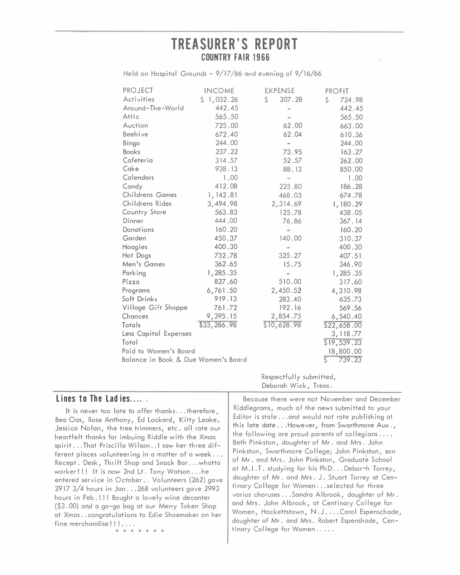# **TREASURER'S REPORT COUNTRY FAIR 1966**

Held on Hospital Grounds - 9/17/66 and evening of 9/16/66

| <b>PROJECT</b>                      | <b>INCOME</b> | <b>EXPENSE</b> | <b>PROFIT</b>          |  |
|-------------------------------------|---------------|----------------|------------------------|--|
| Activities                          | \$1,032.26    | 307.28<br>S.   | \$<br>724.98           |  |
| Around-The-World                    | 442.45        |                | 442.45                 |  |
| Attic                               | 565.50        |                | 565.50                 |  |
| Auction                             | 725.00        | 62.00          | 663.00                 |  |
| Beehive                             | 672.40        | 62.04          | 610.36                 |  |
| Bingo                               | 244.00        | $\sim$         | 244.00                 |  |
| <b>Books</b>                        | 237.22        | 73.95          | 163.27                 |  |
| Cafeteria                           | 314.57        | 52.57          | 262.00                 |  |
| Cake                                | 938.13        | 88.13          | 850.00                 |  |
| Calendars                           | 1,00          |                | 1.00                   |  |
| Candy                               | 412.08        | 225.80         | 186.28                 |  |
| Childrens Games                     | 1,142.81      | 468.03         | 674.78                 |  |
| Childrens Rides                     | 3,494.98      | 2,314.69       | 1,180.29               |  |
| Country Store                       | 563.83        | 125.78         | 438.05                 |  |
| Dinner                              | 444.00        | 76.86          | 367.14                 |  |
| Donations                           | 160.20        |                | 160.20                 |  |
| Garden                              | 450.37        | 140.00         | 310.37                 |  |
| Hoagies                             | 400.30        |                | 400.30                 |  |
| Hot Dogs                            | 732.78        | 325.27         | 407.51                 |  |
| Men's Games                         | 362.65        | 15.75          | 346.90                 |  |
| Parking                             | 1,285.35      |                | 1,285.35               |  |
| Pizza                               | 827.60        | 510.00         | 317.60                 |  |
| Programs                            | 6,761.50      | 2,450.52       | 4,310.98               |  |
| Soft Drinks                         | 919.13        | 283.40         | 635.73                 |  |
| Village Gift Shoppe                 | 761.72        | 192.16         | 569.56                 |  |
| Chances                             | 9,395.15      | 2,854.75       | 6,540.40               |  |
| Totals                              | \$33,286.98   | \$10,628.98    | \$22,658.00            |  |
| Less Capital Expenses               |               |                | 3, 118.77              |  |
| Total                               |               |                | \$19,539.23            |  |
| Paid to Women's Board               |               |                | 18,800.00              |  |
| Balance in Book & Due Women's Board |               |                | 739.23<br>$\mathsf{S}$ |  |

Respectfully submitted, Deborah Wick, Treas.

# **Lines to The Ladies .....**

It is never too late to affer thanks ... therefore 1 Bea Oas, Rose Anthony, Ed Lockard, Ki tty Leake , Jessica Nolan, the tree trimmers, etc. all rate our heartfelt thanks for imbuing Riddle with the Xmas spirit. .. That Priscilla Wilson .. I saw her three different places volunteering in a matter of a week ... Recept. Desk, Thrift Shop and Snack Bar ... whatta worker!!! It is now 2nd Lt. Tony Watson ... he entered service in October .. Volunteers (262) gave 2917 3/4 hours in Jan ... 268 volunteers gave 2993 hours in Feb.!!! Bought a lovely wine decanter (\$3. 00) and a go-ga bag at our Merry Token Shop at Xmas .. congratulations to Edie Shoemaker on her fine merchandise!!!.... \* \* \* \* \* \*

Because there were not November and December Riddlegrams, much of the news submitted to your Editor is stale ... and would not rate publishing at this late date . . . However, from Swarthmore Aux., the following are proud parents of collegians.... Beth Pinkston, daughter of Mr. and Mrs. John Pinkston, Swarthmore College; John Pinkston, son of Mr. and Mrs. John Pinkston, Graduate School at M.I.T. studying for his PhD...Debornh Torrey, daughter of Mr. and Mrs. J. Stuart Torrey at Centinary College for Women . . . selected for three varios choruses . . . Sandra Albrook, daughter of Mr. and Mrs. John Albrook, at Centinary College for Women, Hackettstown, N.J....Carol Espenschade, d aughter of Mr. and Mrs. Robert Espenshade, Cen-\_ trnary College for Women .....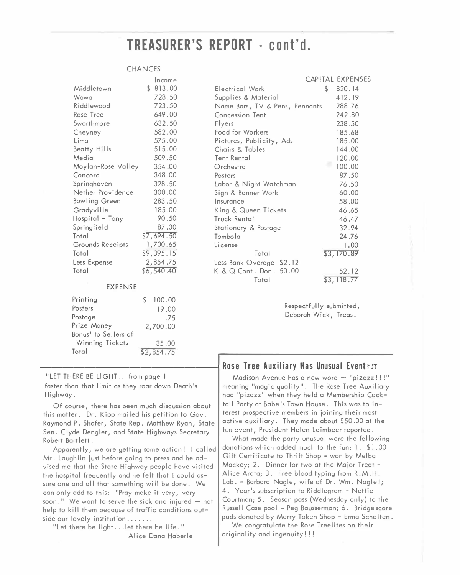# TREASURER'S REPORT - cont'd.

#### **CHANCES**

Posters

Postage

Total

Prize Money

Bonus' to Sellers of Winning Tickets

|                    | Income       |                                | <b>CAPITAL EXPENSES</b> |
|--------------------|--------------|--------------------------------|-------------------------|
| Middletown         | \$813.00     | \$<br>Electrical Work          | 820.14                  |
| Wawa               | 728.50       | Supplies & Material            | 412.19                  |
| Riddlewood         | 723.50       | Name Bars, TV & Pens, Pennants | 288.76                  |
| Rose Tree          | 649.00       | Concession Tent                | 242.80                  |
| Swarthmore         | 632.50       | Flyers                         | 238.50                  |
| Cheyney            | 582.00       | Food for Workers               | 185.68                  |
| Lima               | 575.00       | Pictures, Publicity, Ads       | 185.00                  |
| Beatty Hills       | 515.00       | Chairs & Tables                | 144.00                  |
| Media              | 509.50       | Tent Rental                    | 120.00                  |
| Moylan-Rose Valley | 354.00       | ۰<br>Orchestra                 | 100.00                  |
| Concord            | 348.00       | Posters                        | 87.50                   |
| Springhaven        | 328.50       | Labor & Night Watchman         | 76.50                   |
| Nether Providence  | 300.00       | Sign & Banner Work             | 60.00                   |
| Bowling Green      | 283.50       | Insurance                      | 58.00                   |
| Gradyville         | 185.00       | King & Queen Tickets           | 46.65                   |
| Hospital - Tony    | 90.50        | Truck Rental                   | 46.47                   |
| Springfield        | 87.00        | Stationery & Postage           | 32.94                   |
| Total              | \$7,694.50   | Tombola                        | 24.76                   |
| Grounds Receipts   | 1,700.65     | License                        | 1.00                    |
| Total              | \$9,395.15   | Total                          | \$3,170.89              |
| Less Expense       | 2,854.75     | Less Bank Overage \$2.12       |                         |
| Total              | \$6,540.40   | K & Q Cont. Don. 50.00         | 52.12                   |
|                    |              | Total                          | \$3,118.77              |
| <b>EXPENSE</b>     |              |                                |                         |
| Printing           | 100.00<br>\$ |                                |                         |

Respectfully submitted, Deborah Wick, Treas.

# **Rose Tree Auxiliary Has Unusual Eventsst**

Madison Avenue has a new word - "pizazz!!!" meaning "magic quality". The Rose Tree Auxiliary had "pizazz" when they held a Membership Cocktail Party at Babe's Town House. This was to interest prospective members in joining their most active auxiliary. They made about \$50.00 at the fun event, President Helen Laimbeer reported.

What made the party unusual were the following donations which added much to the fun: 1. \$1.00 Gift Certificate to Thrift Shop - won by Melba Mackey; 2. Dinner for two at the Major Treat -Alice Arata; 3. Free blood typing from R.M.H. Lab. - Barbara Nagle, wife of Dr. Wm. Nagle!; 4. Year's subscription to Riddlegram - Nettie Courtman; 5. Season pass (Wednesday only) to the Russell Case pool - Peg Bausserman; 6. Bridge score pads donated by Merry Token Shop - Erma Scholten.

We congratulate the Rose Treelites on their originality and ingenuity!!!

"LET THERE BE LIGHT.. from page 1 faster than that limit as they roar down Death's Highway.

Of course, there has been much discussion about this matter. Dr. Kipp mailed his petition to Gov. Raymond P. Shafer, State Rep. Matthew Ryan, State Sen. Clyde Dengler, and State Highways Secretary Robert Bartlett.

19.00

35.00

2,700.00

 $52,854.75$ 

.75

Apparently, we are getting some action! I called Mr. Laughlin just before going to press and he advised me that the State Highway people have visited the hospital frequently and he felt that I could assure one and all that something will be done. We can only add to this: "Pray make it very, very soon." We want to serve the sick and injured  $-$  not help to kill them because of traffic conditions outside our lovely institution .......

"Let there be light...let there be life." Alice Dana Haberle